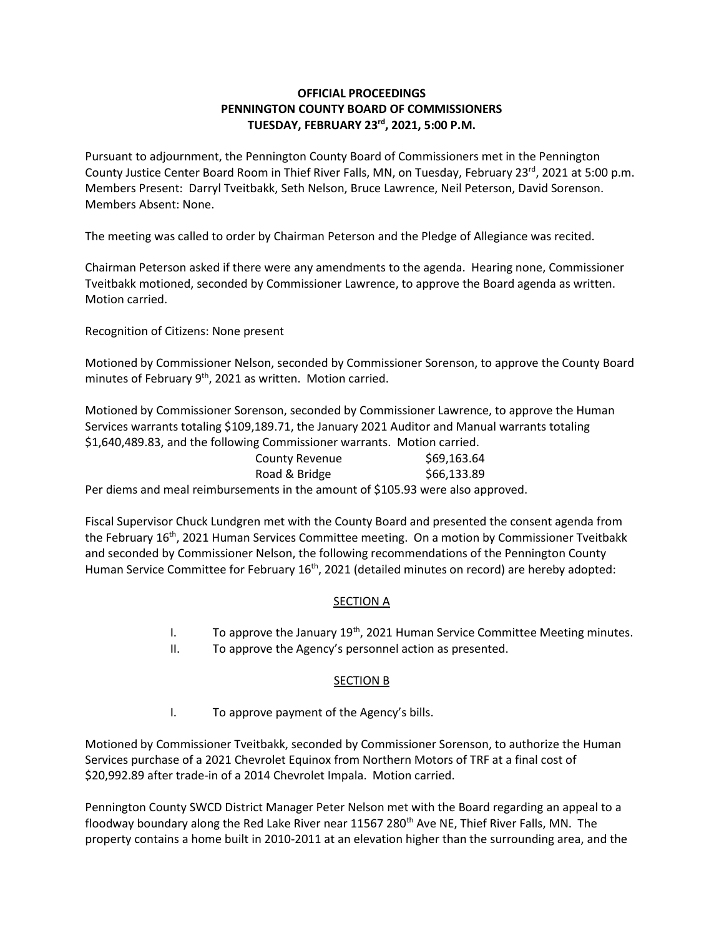## **OFFICIAL PROCEEDINGS PENNINGTON COUNTY BOARD OF COMMISSIONERS TUESDAY, FEBRUARY 23rd , 2021, 5:00 P.M.**

Pursuant to adjournment, the Pennington County Board of Commissioners met in the Pennington County Justice Center Board Room in Thief River Falls, MN, on Tuesday, February 23<sup>rd</sup>, 2021 at 5:00 p.m. Members Present: Darryl Tveitbakk, Seth Nelson, Bruce Lawrence, Neil Peterson, David Sorenson. Members Absent: None.

The meeting was called to order by Chairman Peterson and the Pledge of Allegiance was recited.

Chairman Peterson asked if there were any amendments to the agenda. Hearing none, Commissioner Tveitbakk motioned, seconded by Commissioner Lawrence, to approve the Board agenda as written. Motion carried.

Recognition of Citizens: None present

Motioned by Commissioner Nelson, seconded by Commissioner Sorenson, to approve the County Board minutes of February 9th, 2021 as written. Motion carried.

Motioned by Commissioner Sorenson, seconded by Commissioner Lawrence, to approve the Human Services warrants totaling \$109,189.71, the January 2021 Auditor and Manual warrants totaling \$1,640,489.83, and the following Commissioner warrants. Motion carried.

| <b>County Revenue</b>                                                           | \$69,163.64 |
|---------------------------------------------------------------------------------|-------------|
| Road & Bridge                                                                   | \$66,133.89 |
| Per diems and meal reimbursements in the amount of \$105.93 were also approved. |             |

Fiscal Supervisor Chuck Lundgren met with the County Board and presented the consent agenda from the February 16<sup>th</sup>, 2021 Human Services Committee meeting. On a motion by Commissioner Tveitbakk and seconded by Commissioner Nelson, the following recommendations of the Pennington County Human Service Committee for February 16<sup>th</sup>, 2021 (detailed minutes on record) are hereby adopted:

## **SECTION A**

- I. To approve the January  $19<sup>th</sup>$ , 2021 Human Service Committee Meeting minutes.
- II. To approve the Agency's personnel action as presented.

## SECTION B

I. To approve payment of the Agency's bills.

Motioned by Commissioner Tveitbakk, seconded by Commissioner Sorenson, to authorize the Human Services purchase of a 2021 Chevrolet Equinox from Northern Motors of TRF at a final cost of \$20,992.89 after trade-in of a 2014 Chevrolet Impala. Motion carried.

Pennington County SWCD District Manager Peter Nelson met with the Board regarding an appeal to a floodway boundary along the Red Lake River near 11567 280<sup>th</sup> Ave NE, Thief River Falls, MN. The property contains a home built in 2010-2011 at an elevation higher than the surrounding area, and the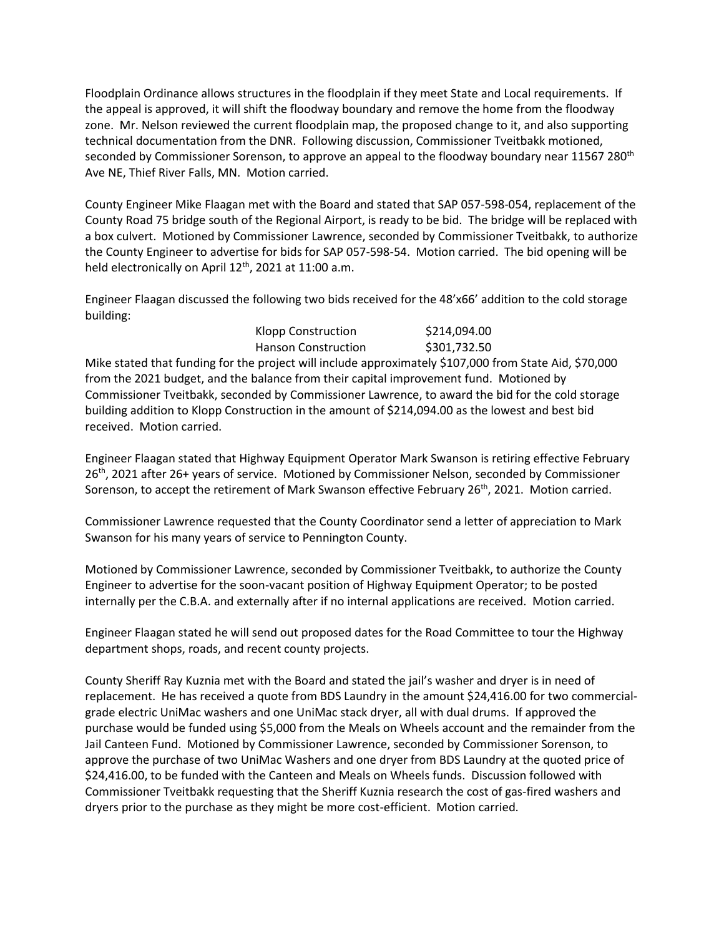Floodplain Ordinance allows structures in the floodplain if they meet State and Local requirements. If the appeal is approved, it will shift the floodway boundary and remove the home from the floodway zone. Mr. Nelson reviewed the current floodplain map, the proposed change to it, and also supporting technical documentation from the DNR. Following discussion, Commissioner Tveitbakk motioned, seconded by Commissioner Sorenson, to approve an appeal to the floodway boundary near 11567 280<sup>th</sup> Ave NE, Thief River Falls, MN. Motion carried.

County Engineer Mike Flaagan met with the Board and stated that SAP 057-598-054, replacement of the County Road 75 bridge south of the Regional Airport, is ready to be bid. The bridge will be replaced with a box culvert. Motioned by Commissioner Lawrence, seconded by Commissioner Tveitbakk, to authorize the County Engineer to advertise for bids for SAP 057-598-54. Motion carried. The bid opening will be held electronically on April 12<sup>th</sup>, 2021 at 11:00 a.m.

Engineer Flaagan discussed the following two bids received for the 48'x66' addition to the cold storage building:

| <b>Klopp Construction</b>  | \$214,094.00 |
|----------------------------|--------------|
| <b>Hanson Construction</b> | \$301,732.50 |

Mike stated that funding for the project will include approximately \$107,000 from State Aid, \$70,000 from the 2021 budget, and the balance from their capital improvement fund. Motioned by Commissioner Tveitbakk, seconded by Commissioner Lawrence, to award the bid for the cold storage building addition to Klopp Construction in the amount of \$214,094.00 as the lowest and best bid received. Motion carried.

Engineer Flaagan stated that Highway Equipment Operator Mark Swanson is retiring effective February 26th, 2021 after 26+ years of service. Motioned by Commissioner Nelson, seconded by Commissioner Sorenson, to accept the retirement of Mark Swanson effective February 26<sup>th</sup>, 2021. Motion carried.

Commissioner Lawrence requested that the County Coordinator send a letter of appreciation to Mark Swanson for his many years of service to Pennington County.

Motioned by Commissioner Lawrence, seconded by Commissioner Tveitbakk, to authorize the County Engineer to advertise for the soon-vacant position of Highway Equipment Operator; to be posted internally per the C.B.A. and externally after if no internal applications are received. Motion carried.

Engineer Flaagan stated he will send out proposed dates for the Road Committee to tour the Highway department shops, roads, and recent county projects.

County Sheriff Ray Kuznia met with the Board and stated the jail's washer and dryer is in need of replacement. He has received a quote from BDS Laundry in the amount \$24,416.00 for two commercialgrade electric UniMac washers and one UniMac stack dryer, all with dual drums. If approved the purchase would be funded using \$5,000 from the Meals on Wheels account and the remainder from the Jail Canteen Fund. Motioned by Commissioner Lawrence, seconded by Commissioner Sorenson, to approve the purchase of two UniMac Washers and one dryer from BDS Laundry at the quoted price of \$24,416.00, to be funded with the Canteen and Meals on Wheels funds. Discussion followed with Commissioner Tveitbakk requesting that the Sheriff Kuznia research the cost of gas-fired washers and dryers prior to the purchase as they might be more cost-efficient. Motion carried.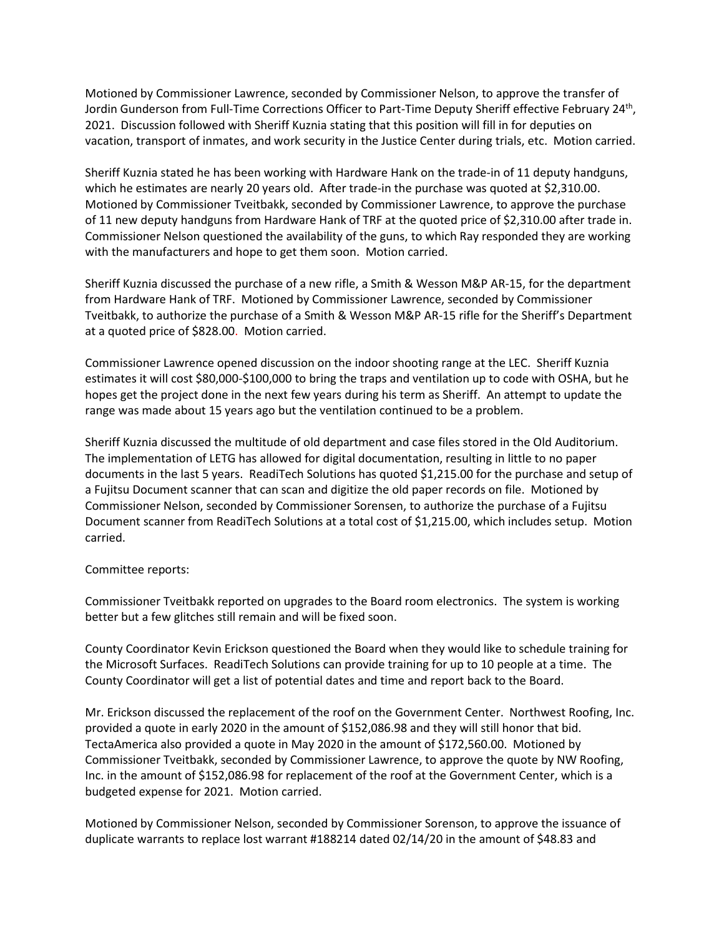Motioned by Commissioner Lawrence, seconded by Commissioner Nelson, to approve the transfer of Jordin Gunderson from Full-Time Corrections Officer to Part-Time Deputy Sheriff effective February 24<sup>th</sup>, 2021. Discussion followed with Sheriff Kuznia stating that this position will fill in for deputies on vacation, transport of inmates, and work security in the Justice Center during trials, etc. Motion carried.

Sheriff Kuznia stated he has been working with Hardware Hank on the trade-in of 11 deputy handguns, which he estimates are nearly 20 years old. After trade-in the purchase was quoted at \$2,310.00. Motioned by Commissioner Tveitbakk, seconded by Commissioner Lawrence, to approve the purchase of 11 new deputy handguns from Hardware Hank of TRF at the quoted price of \$2,310.00 after trade in. Commissioner Nelson questioned the availability of the guns, to which Ray responded they are working with the manufacturers and hope to get them soon. Motion carried.

Sheriff Kuznia discussed the purchase of a new rifle, a Smith & Wesson M&P AR-15, for the department from Hardware Hank of TRF. Motioned by Commissioner Lawrence, seconded by Commissioner Tveitbakk, to authorize the purchase of a Smith & Wesson M&P AR-15 rifle for the Sheriff's Department at a quoted price of \$828.00. Motion carried.

Commissioner Lawrence opened discussion on the indoor shooting range at the LEC. Sheriff Kuznia estimates it will cost \$80,000-\$100,000 to bring the traps and ventilation up to code with OSHA, but he hopes get the project done in the next few years during his term as Sheriff. An attempt to update the range was made about 15 years ago but the ventilation continued to be a problem.

Sheriff Kuznia discussed the multitude of old department and case files stored in the Old Auditorium. The implementation of LETG has allowed for digital documentation, resulting in little to no paper documents in the last 5 years. ReadiTech Solutions has quoted \$1,215.00 for the purchase and setup of a Fujitsu Document scanner that can scan and digitize the old paper records on file. Motioned by Commissioner Nelson, seconded by Commissioner Sorensen, to authorize the purchase of a Fujitsu Document scanner from ReadiTech Solutions at a total cost of \$1,215.00, which includes setup. Motion carried.

## Committee reports:

Commissioner Tveitbakk reported on upgrades to the Board room electronics. The system is working better but a few glitches still remain and will be fixed soon.

County Coordinator Kevin Erickson questioned the Board when they would like to schedule training for the Microsoft Surfaces. ReadiTech Solutions can provide training for up to 10 people at a time. The County Coordinator will get a list of potential dates and time and report back to the Board.

Mr. Erickson discussed the replacement of the roof on the Government Center. Northwest Roofing, Inc. provided a quote in early 2020 in the amount of \$152,086.98 and they will still honor that bid. TectaAmerica also provided a quote in May 2020 in the amount of \$172,560.00. Motioned by Commissioner Tveitbakk, seconded by Commissioner Lawrence, to approve the quote by NW Roofing, Inc. in the amount of \$152,086.98 for replacement of the roof at the Government Center, which is a budgeted expense for 2021. Motion carried.

Motioned by Commissioner Nelson, seconded by Commissioner Sorenson, to approve the issuance of duplicate warrants to replace lost warrant #188214 dated 02/14/20 in the amount of \$48.83 and